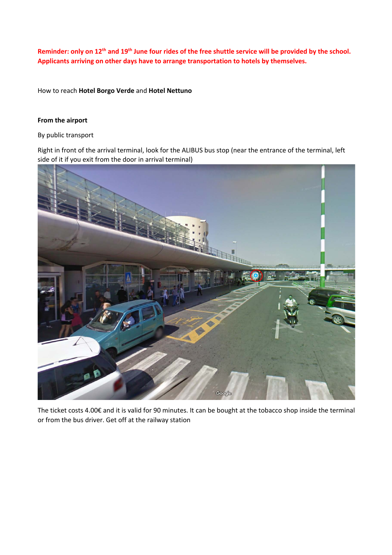**Reminder: only on 12th and 19th June four rides of the free shuttle service will be provided by the school. Applicants arriving on other days have to arrange transportation to hotels by themselves.**

How to reach **Hotel Borgo Verde** and **Hotel Nettuno**

## **From the airport**

By public transport

Right in front of the arrival terminal, look for the ALIBUS bus stop (near the entrance of the terminal, left side of it if you exit from the door in arrival terminal)



The ticket costs 4.00€ and it is valid for 90 minutes. It can be bought at the tobacco shop inside the terminal or from the bus driver. Get off at the railway station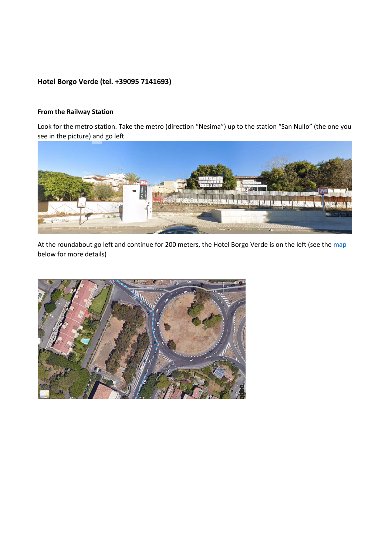## **Hotel Borgo Verde (tel. +39095 7141693)**

## **From the Railway Station**

Look for the metro station. Take the metro (direction "Nesima") up to the station "San Nullo" (the one you see in the picture) and go left



At the roundabout go left and continue for 200 meters, the Hotel Borgo Verde is on the left (see the map below for more details)

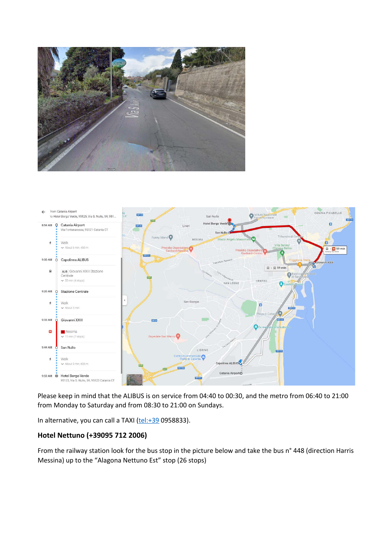



Please keep in mind that the ALIBUS is on service from 04:40 to 00:30, and the metro from 06:40 to 21:00 from Monday to Saturday and from 08:30 to 21:00 on Sundays.

In alternative, you can call a TAXI (tel:+39 0958833).

## **Hotel Nettuno (+39095 712 2006)**

From the railway station look for the bus stop in the picture below and take the bus n° 448 (direction Harris Messina) up to the "Alagona Nettuno Est" stop (26 stops)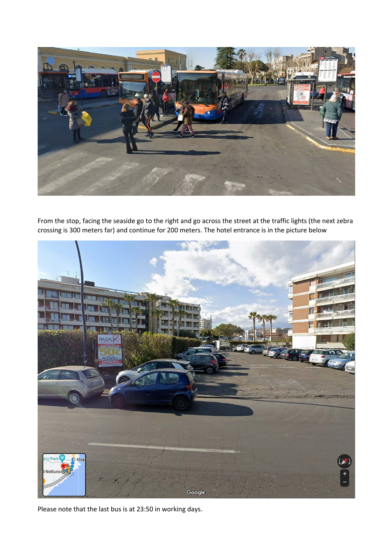

From the stop, facing the seaside go to the right and go across the street at the traffic lights (the next zebra crossing is 300 meters far) and continue for 200 meters. The hotel entrance is in the picture below



Please note that the last bus is at 23:50 in working days.